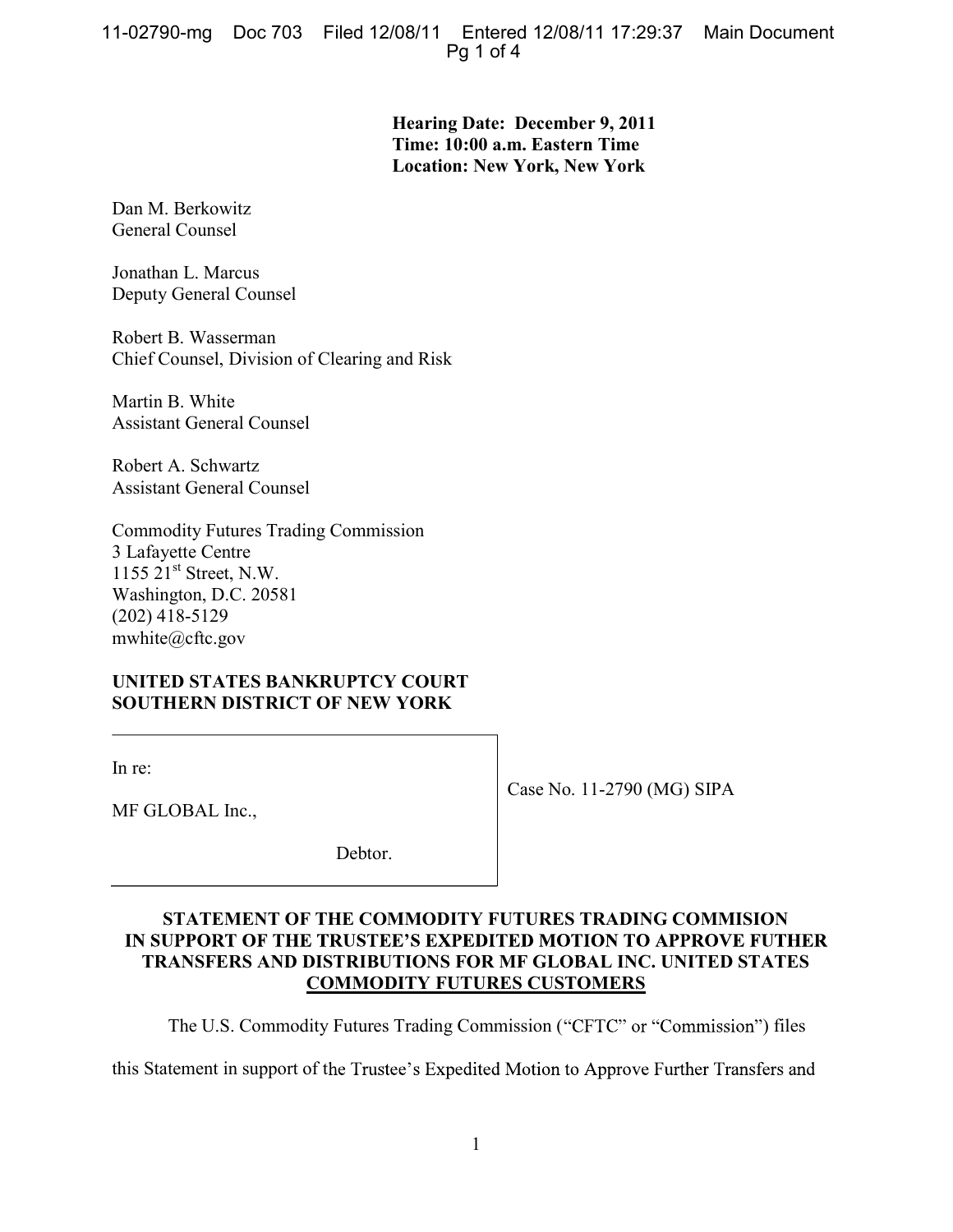**Hearing Date: December 9, 2011 Time: 10:00 a.m. Eastern Time Location: New York, New York** 

Dan M. Berkowitz General Counsel

Jonathan L. Marcus Deputy General Counsel

Robert B. Wasserman Chief Counsel, Division of Clearing and Risk

Martin B. White Assistant General Counsel

Robert A. Schwartz Assistant General Counsel

Commodity Futures Trading Commission 3 Lafayette Centre 1155 21st Street, N.W. Washington, D.C. 20581 (202) 418-5129 mwhite@cftc.gov

# **UNITED STATES BANKRUPTCY COURT SOUTHERN DISTRICT OF NEW YORK**

In re:

Case No. 11-2790 (MG) SIPA

MF GLOBAL Inc.,

Debtor.

### **STATEMENT OF THE COMMODITY FUTURES TRADING COMMISION**  IN SUPPORT OF THE TRUSTEE'S EXPEDITED MOTION TO APPROVE FUTHER **TRANSFERS AND DISTRIBUTIONS FOR MF GLOBAL INC. UNITED STATES COMMODITY FUTURES CUSTOMERS**

The U.S. Commodity Futures Trading Commission ("CFTC" or "Commission") files

this Statement in support of the Trustee's Expedited Motion to Approve Further Transfers and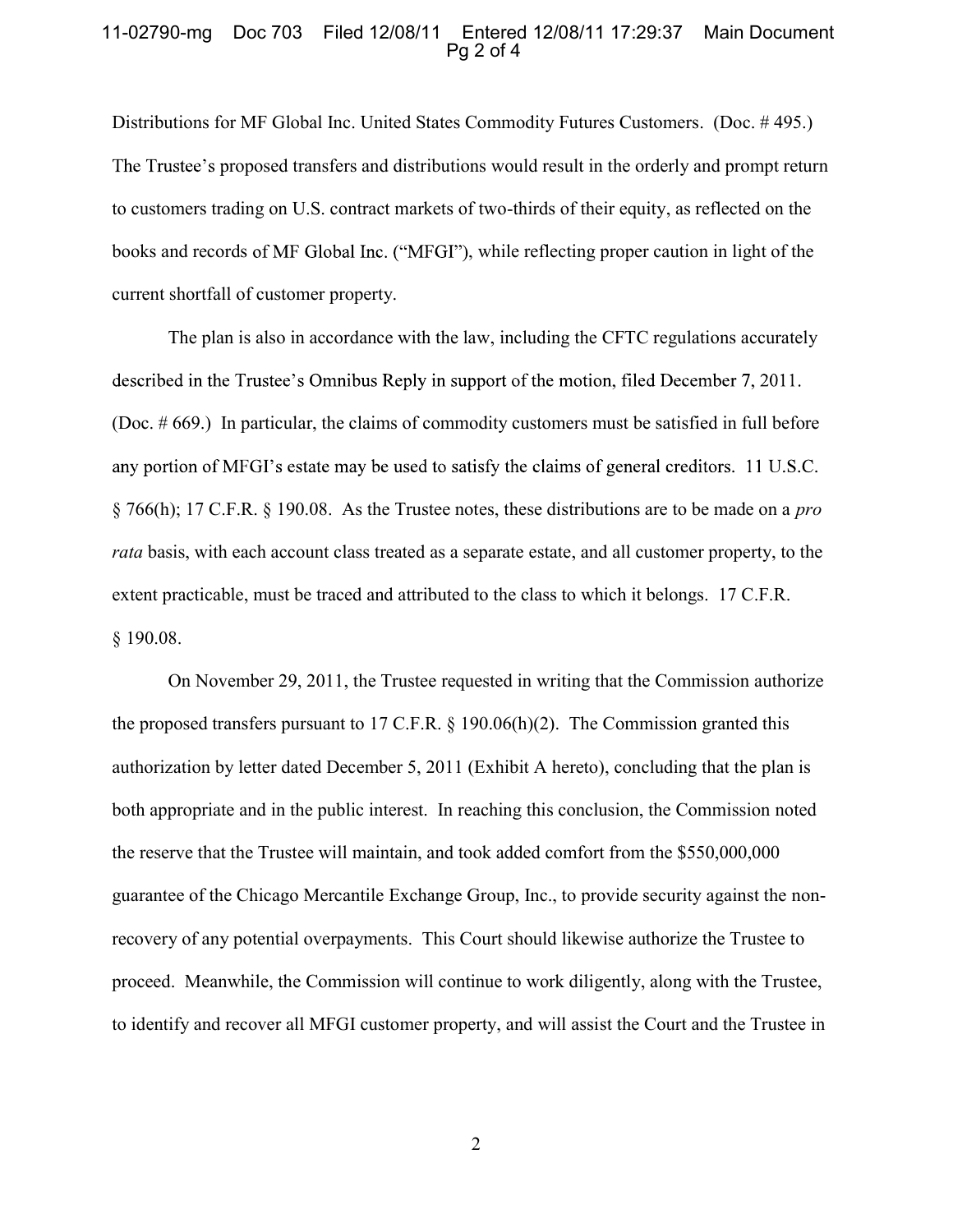#### 11-02790-mg Doc 703 Filed 12/08/11 Entered 12/08/11 17:29:37 Main Document  $Pa<sub>2</sub>$  of 4

Distributions for MF Global Inc. United States Commodity Futures Customers. (Doc. # 495.) The Trustee's proposed transfers and distributions would result in the orderly and prompt return to customers trading on U.S. contract markets of two-thirds of their equity, as reflected on the books and records of MF Global Inc. ("MFGI"), while reflecting proper caution in light of the current shortfall of customer property.

The plan is also in accordance with the law, including the CFTC regulations accurately described in the Trustee's Omnibus Reply in support of the motion, filed December 7, 2011. (Doc. # 669.) In particular, the claims of commodity customers must be satisfied in full before any portion of MFGI's estate may be used to satisfy the claims of general creditors. 11 U.S.C. § 766(h); 17 C.F.R. § 190.08. As the Trustee notes, these distributions are to be made on a *pro rata* basis, with each account class treated as a separate estate, and all customer property, to the extent practicable, must be traced and attributed to the class to which it belongs. 17 C.F.R. § 190.08.

On November 29, 2011, the Trustee requested in writing that the Commission authorize the proposed transfers pursuant to 17 C.F.R. § 190.06(h)(2). The Commission granted this authorization by letter dated December 5, 2011 (Exhibit A hereto), concluding that the plan is both appropriate and in the public interest. In reaching this conclusion, the Commission noted the reserve that the Trustee will maintain, and took added comfort from the \$550,000,000 guarantee of the Chicago Mercantile Exchange Group, Inc., to provide security against the nonrecovery of any potential overpayments. This Court should likewise authorize the Trustee to proceed. Meanwhile, the Commission will continue to work diligently, along with the Trustee, to identify and recover all MFGI customer property, and will assist the Court and the Trustee in

2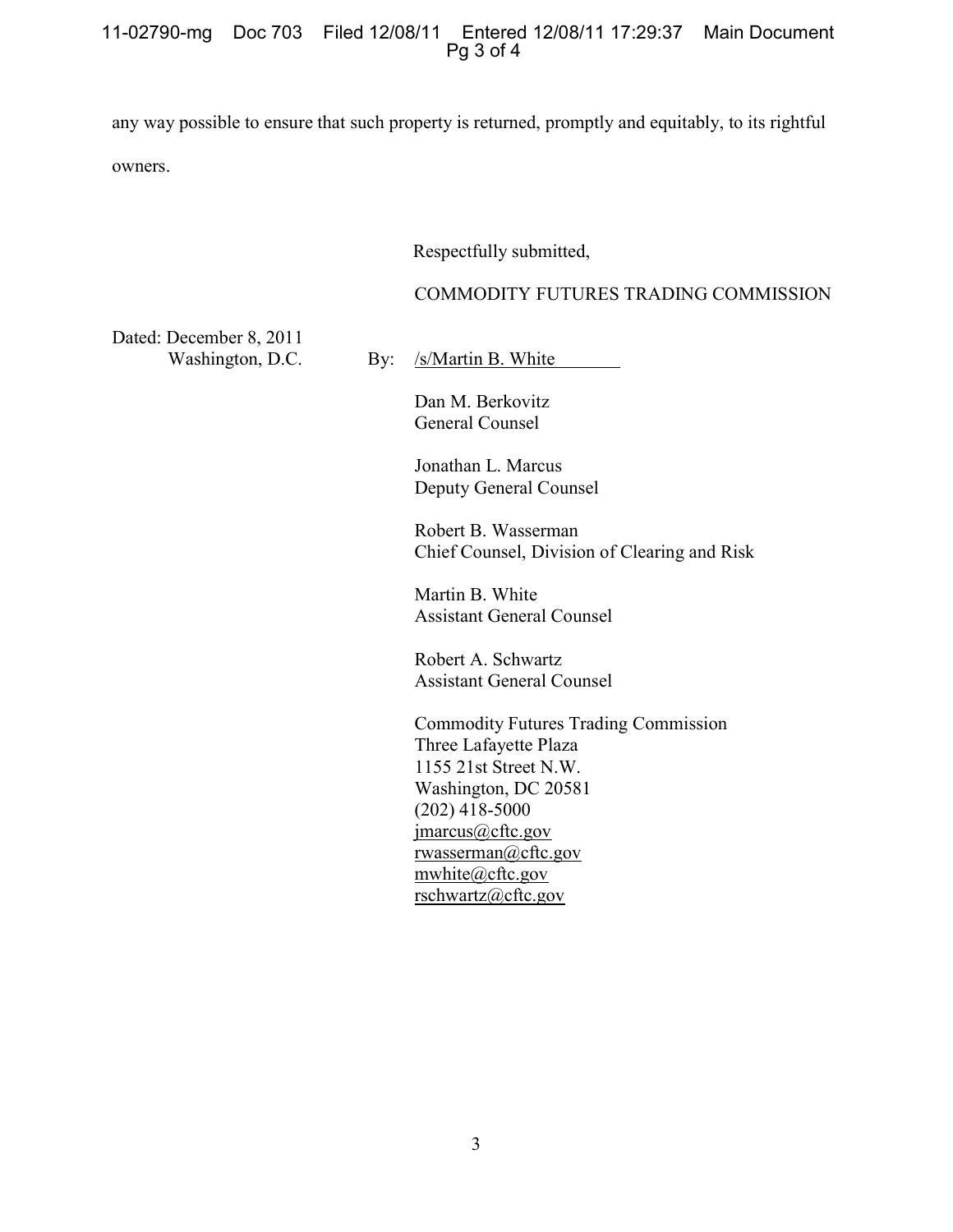#### 11-02790-mg Doc 703 Filed 12/08/11 Entered 12/08/11 17:29:37 Main Document Pg 3 of 4

any way possible to ensure that such property is returned, promptly and equitably, to its rightful owners.

#### Respectfully submitted,

## COMMODITY FUTURES TRADING COMMISSION

Dated: December 8, 2011 Washington, D.C.

By: /s/Martin B. White

Dan M. Berkovitz General Counsel

Jonathan L. Marcus Deputy General Counsel

Robert B. Wasserman Chief Counsel, Division of Clearing and Risk

Martin B. White Assistant General Counsel

Robert A. Schwartz Assistant General Counsel

Commodity Futures Trading Commission Three Lafayette Plaza 1155 21st Street N.W. Washington, DC 20581 (202) 418-5000 jmarcus@cftc.gov rwasserman@cftc.gov mwhite@cftc.gov rschwartz@cftc.gov